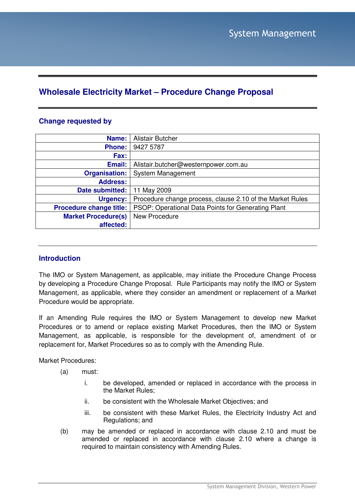# **Wholesale Electricity Market – Procedure Change Proposal**

## **Change requested by**

| Name:                          | <b>Alistair Butcher</b>                                   |
|--------------------------------|-----------------------------------------------------------|
| <b>Phone:</b>                  | 9427 5787                                                 |
| Fax:                           |                                                           |
| Email:                         | Alistair.butcher@westernpower.com.au                      |
| <b>Organisation:</b>           | <b>System Management</b>                                  |
| <b>Address:</b>                |                                                           |
| Date submitted:                | 11 May 2009                                               |
| Urgency:                       | Procedure change process, clause 2.10 of the Market Rules |
| <b>Procedure change title:</b> | PSOP: Operational Data Points for Generating Plant        |
| <b>Market Procedure(s)</b>     | New Procedure                                             |
| affected:                      |                                                           |

## **Introduction**

The IMO or System Management, as applicable, may initiate the Procedure Change Process by developing a Procedure Change Proposal. Rule Participants may notify the IMO or System Management, as applicable, where they consider an amendment or replacement of a Market Procedure would be appropriate.

If an Amending Rule requires the IMO or System Management to develop new Market Procedures or to amend or replace existing Market Procedures, then the IMO or System Management, as applicable, is responsible for the development of, amendment of or replacement for, Market Procedures so as to comply with the Amending Rule.

Market Procedures:

- (a) must:
	- i. be developed, amended or replaced in accordance with the process in the Market Rules;
	- ii. be consistent with the Wholesale Market Objectives; and
	- iii. be consistent with these Market Rules, the Electricity Industry Act and Regulations; and
- (b) may be amended or replaced in accordance with clause 2.10 and must be amended or replaced in accordance with clause 2.10 where a change is required to maintain consistency with Amending Rules.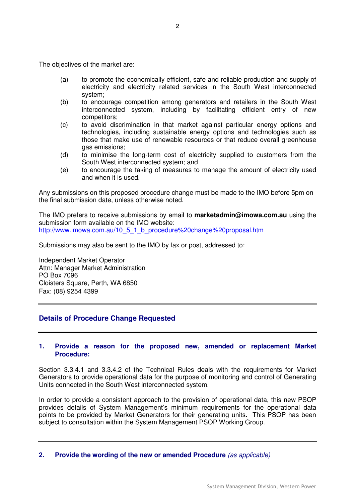The objectives of the market are:

- (a) to promote the economically efficient, safe and reliable production and supply of electricity and electricity related services in the South West interconnected system;
- (b) to encourage competition among generators and retailers in the South West interconnected system, including by facilitating efficient entry of new competitors;
- (c) to avoid discrimination in that market against particular energy options and technologies, including sustainable energy options and technologies such as those that make use of renewable resources or that reduce overall greenhouse gas emissions;
- (d) to minimise the long-term cost of electricity supplied to customers from the South West interconnected system; and
- (e) to encourage the taking of measures to manage the amount of electricity used and when it is used.

Any submissions on this proposed procedure change must be made to the IMO before 5pm on the final submission date, unless otherwise noted.

The IMO prefers to receive submissions by email to **marketadmin@imowa.com.au** using the submission form available on the IMO website: http://www.imowa.com.au/10\_5\_1\_b\_procedure%20change%20proposal.htm

Submissions may also be sent to the IMO by fax or post, addressed to:

Independent Market Operator Attn: Manager Market Administration PO Box 7096 Cloisters Square, Perth, WA 6850 Fax: (08) 9254 4399

## **Details of Procedure Change Requested**

#### **1. Provide a reason for the proposed new, amended or replacement Market Procedure:**

Section 3.3.4.1 and 3.3.4.2 of the Technical Rules deals with the requirements for Market Generators to provide operational data for the purpose of monitoring and control of Generating Units connected in the South West interconnected system.

In order to provide a consistent approach to the provision of operational data, this new PSOP provides details of System Management's minimum requirements for the operational data points to be provided by Market Generators for their generating units. This PSOP has been subject to consultation within the System Management PSOP Working Group.

#### **2. Provide the wording of the new or amended Procedure** (as applicable)